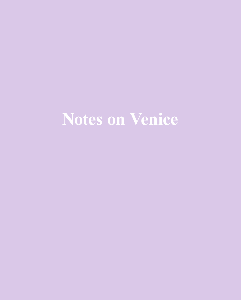# **Notes on Venice**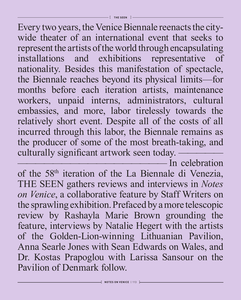Every two years, the Venice Biennale reenacts the citywide theater of an international event that seeks to represent the artists of the world through encapsulating installations and exhibitions representative of nationality. Besides this manifestation of spectacle, the Biennale reaches beyond its physical limits—for months before each iteration artists, maintenance workers, unpaid interns, administrators, cultural embassies, and more, labor tirelessly towards the relatively short event. Despite all of the costs of all incurred through this labor, the Biennale remains as the producer of some of the most breath-taking, and culturally significant artwork seen today. —

 $-$  In celebration of the 58th iteration of the La Biennale di Venezia, THE SEEN gathers reviews and interviews in *Notes on Venice*, a collaborative feature by Staff Writers on the sprawling exhibition. Prefaced by a more telescopic review by Rashayla Marie Brown grounding the feature, interviews by Natalie Hegert with the artists of the Golden-Lion-winning Lithuanian Pavilion, Anna Searle Jones with Sean Edwards on Wales, and Dr. Kostas Prapoglou with Larissa Sansour on the Pavilion of Denmark follow.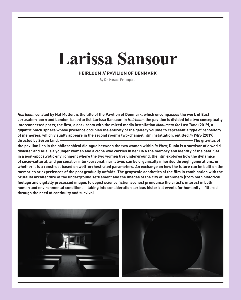## **Larissa Sansour**

**HEIRLOOM // PAVILION OF DENMARK**

By Dr. Kostas Prapoglou

Heirloom, curated by Nat Muller, is the title of the Pavilion of Denmark, which encompasses the work of East Jerusalem-born and London-based artist Larissa Sansour. In Heirloom, the pavilion is divided into two conceptually **interconnected parts; the first, a dark room with the mixed media installation** *Monument for Lost Time* **(2019), a** gigantic black sphere whose presence occupies the entirety of the gallery volume to represent a type of repository **of memories, which visually appears in the second room's two-channel film installation, entitled** *In Vitro* **(2019), directed by Søren Lind. ———————————————————————————————————————The gravitas of**

the pavilion lies in the philosophical dialogue between the two women within In Vitro; Dunia is a survivor of a world disaster and Alia is a younger woman and a clone who carries in her DNA the memory and identity of the past. Set **in a post-apocalyptic environment where the two women live underground, the film explores how the dynamics of socio-cultural, and personal or inter-personal, narratives can be organically inherited through generations, or** whether it is a construct based on well-orchestrated parameters. An exchange on how the future can be built on the memories or experiences of the past gradually unfolds. The grayscale aesthetics of the film in combination with the brutalist architecture of the underground settlement and the images of the city of Bethlehem (from both historical **footage and digitally processed images to depict science fiction scenes) pronounce the artist's interest in both human and environmental conditions—taking into consideration serious historical events for humanity—filtered through the need of continuity and survival.**



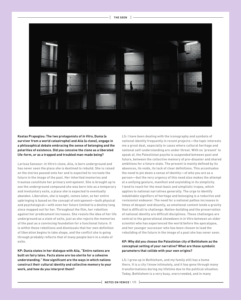

**Kostas Prapoglou: The two protagonists of** *In Vitro***, Dunia (a survivor from a world catastrophe) and Alia (a clone), engage in a philosophical debate embracing the sense of belonging and the polarities of existence. Did you conceive the clone as a liberated life-form, or as a trapped and troubled man-made being?**

**Larissa Sansour:** *In Vitro's* **clone, Alia, is born underground and has never seen the place she is destined to rebuild. She is raised on the stories passed onto her and is expected to recreate the future in the image of the past. Her inherited memories and traumas constitute her primary entrapment. She is brought up to see the underground compound she was born into as a temporary and involuntary exile, a place she is expected to eventually abandon. Liberation, she is taught, comes later, so her entire upbringing is based on the concept of entrapment—both physical and psychological—with even her future limited to a destiny long since mapped out for her. Throughout the film, her rebellion against her predicament increases. She resists the idea of her life underground as a state of exile, just as she rejects the memories of the past as a convincing foundation for a functional future. It is within these rebellions and dismissals that her own definition of liberation begins to take shape, and the conflict she is going through probably reflects that of many people born in a state of exile.**

**KP: Dunia states in her dialogue with Alia, "Entire nations are built on fairy tales. Facts alone are too sterile for a cohesive understanding." How significant are the ways in which nations construct their cultural identity and collective memory to your work, and how do you interpret them?**

**LS: I have been dealing with the iconography and symbols of national identity frequently in recent projects—the topic interests me a great deal, especially in cases where cultural heritage and national self-understanding are under threat. With no 'present' to speak of, the Palestinian psyche is suspended between past and future, between the collective memory of pre-disaster and shared ambitions for a future state. The present is mainly defined by its absences, its voids, its lack of clear definitions. This accentuates the need to pin down a sense of identity—of who you are as a person—but the very urgency of this need also makes the attempt at a unifying gesture, manifest and unyielding in its simplicity. I tend to reach for the most basic and simplistic tropes, which applies to national narratives generally. The urge to identify indubitable signifiers of heritage and belonging is a reductive and revisionist endeavor. The need for a national pathos increases in times of despair and disunity, as emotional content lends a gravity that is difficult to challenge. Nation-building and the preservation of national identity are difficult disciplines. These challenges are central to the generational showdown in** *In Vitro* **between an older scientist who has experienced the world before the apocalypse, and her younger successor who has been chosen to lead the rebuilding of the future in the image of a past she has never seen.**

### **KP: Why did you choose the Palestinian city of Bethlehem as the conceptual setting of your narrative? What are those symbolic parameters that collide with your own origins?**

**LS: I grew up in Bethlehem, and my family still has a home there. It is a city I know intimately, and it has gone through many transformations during my lifetime due to the political situation. Today, Bethlehem is a very busy, overcrowded, and in many**